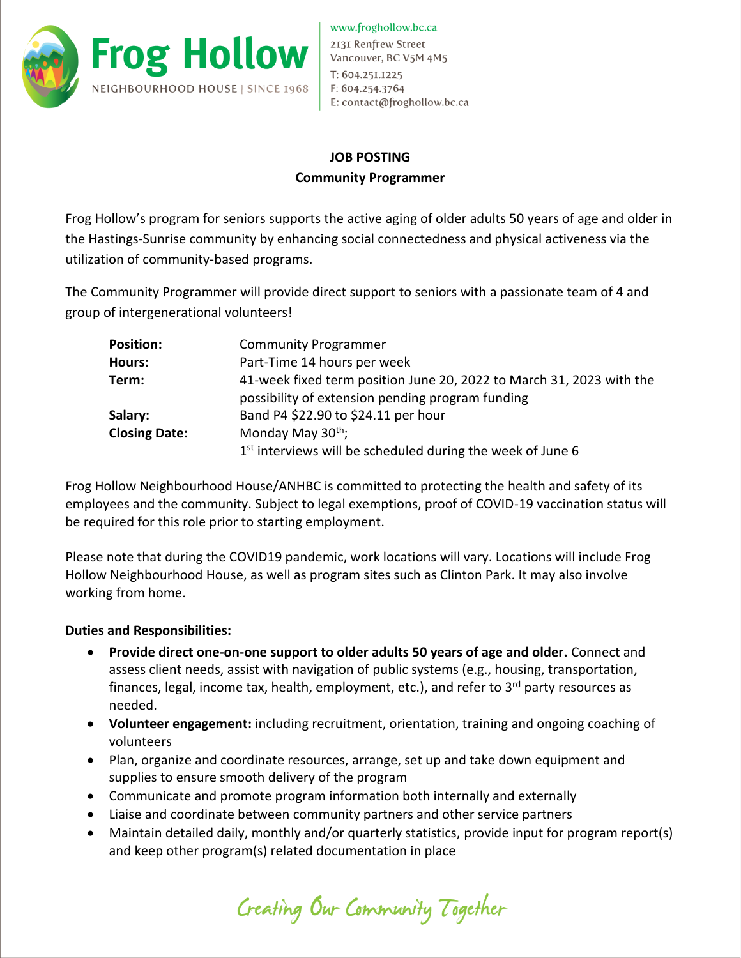

## **JOB POSTING Community Programmer**

Frog Hollow's program for seniors supports the active aging of older adults 50 years of age and older in the Hastings-Sunrise community by enhancing social connectedness and physical activeness via the utilization of community-based programs.

The Community Programmer will provide direct support to seniors with a passionate team of 4 and group of intergenerational volunteers!

| <b>Position:</b>     | <b>Community Programmer</b>                                            |
|----------------------|------------------------------------------------------------------------|
| <b>Hours:</b>        | Part-Time 14 hours per week                                            |
| Term:                | 41-week fixed term position June 20, 2022 to March 31, 2023 with the   |
|                      | possibility of extension pending program funding                       |
| Salary:              | Band P4 \$22.90 to \$24.11 per hour                                    |
| <b>Closing Date:</b> | Monday May 30 <sup>th</sup> ;                                          |
|                      | 1 <sup>st</sup> interviews will be scheduled during the week of June 6 |

Frog Hollow Neighbourhood House/ANHBC is committed to protecting the health and safety of its employees and the community. Subject to legal exemptions, proof of COVID-19 vaccination status will be required for this role prior to starting employment.

Please note that during the COVID19 pandemic, work locations will vary. Locations will include Frog Hollow Neighbourhood House, as well as program sites such as Clinton Park. It may also involve working from home.

## **Duties and Responsibilities:**

- **Provide direct one-on-one support to older adults 50 years of age and older.** Connect and assess client needs, assist with navigation of public systems (e.g., housing, transportation, finances, legal, income tax, health, employment, etc.), and refer to  $3<sup>rd</sup>$  party resources as needed.
- **Volunteer engagement:** including recruitment, orientation, training and ongoing coaching of volunteers
- Plan, organize and coordinate resources, arrange, set up and take down equipment and supplies to ensure smooth delivery of the program
- Communicate and promote program information both internally and externally
- Liaise and coordinate between community partners and other service partners
- Maintain detailed daily, monthly and/or quarterly statistics, provide input for program report(s) and keep other program(s) related documentation in place

Creating Our Community Together